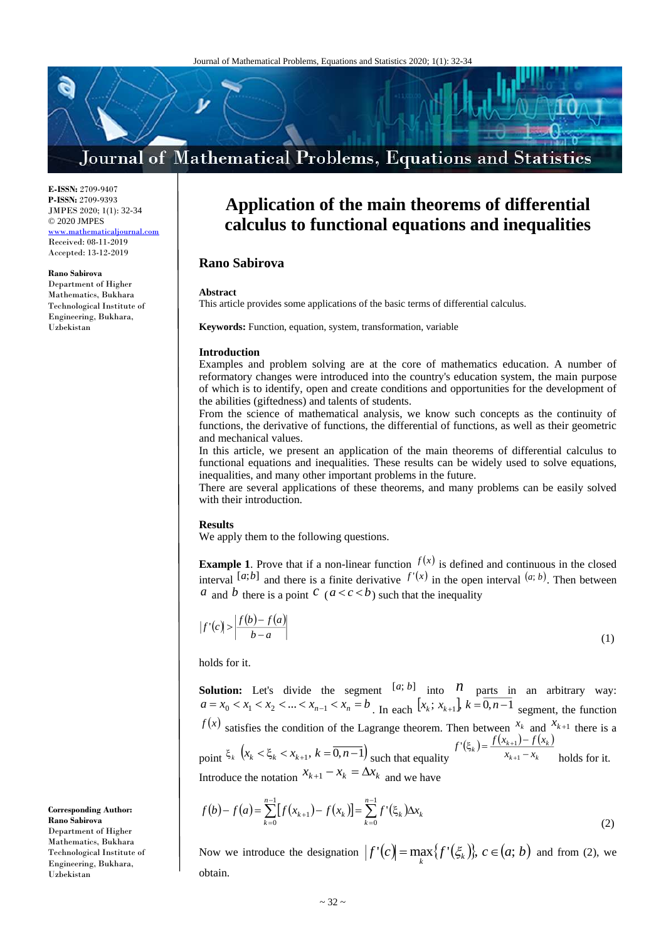# Journal of Mathematical Problems, Equations and Statistics

**E-ISSN:** 2709-9407 **P-ISSN:** 2709-9393 JMPES 2020; 1(1): 32-34 © 2020 JMPES <www.mathematicaljournal.com> Received: 08-11-2019 Accepted: 13-12-2019

**Rano Sabirova**

Department of Higher Mathematics, Bukhara Technological Institute of Engineering, Bukhara, Uzbekistan

## **Application of the main theorems of differential calculus to functional equations and inequalities**

### **Rano Sabirova**

#### **Abstract**

This article provides some applications of the basic terms of differential calculus.

**Keywords:** Function, equation, system, transformation, variable

#### **Introduction**

Examples and problem solving are at the core of mathematics education. A number of reformatory changes were introduced into the country's education system, the main purpose of which is to identify, open and create conditions and opportunities for the development of the abilities (giftedness) and talents of students.

From the science of mathematical analysis, we know such concepts as the continuity of functions, the derivative of functions, the differential of functions, as well as their geometric and mechanical values.

In this article, we present an application of the main theorems of differential calculus to functional equations and inequalities. These results can be widely used to solve equations, inequalities, and many other important problems in the future.

There are several applications of these theorems, and many problems can be easily solved with their introduction.

#### **Results**

We apply them to the following questions.

**Example 1**. Prove that if a non-linear function  $f(x)$  is defined and continuous in the closed interval [a;b] and there is a finite derivative  $f'(x)$  in the open interval  $(a, b)$ . Then between *a* and *b* there is a point *c* (*a* < *c* < *b*) such that the inequality

$$
|f'(c)| > \left| \frac{f(b) - f(a)}{b - a} \right| \tag{1}
$$

holds for it.

**Solution:** Let's divide the segment  $[a, b]$  into  $n$  parts in an arbitrary way:  $a = x_0 < x_1 < x_2 < ... < x_{n-1} < x_n = b$ . In each  $[x_k; x_{k+1}]$ ,  $k = \overline{0, n-1}$  segment, the function  $f(x)$  satisfies the condition of the Lagrange theorem. Then between  $x_k$  and  $x_{k+1}$  there is a point  $\xi_k$   $(x_k < \xi_k < x_{k+1}, k = \overline{0, n-1})$  such that equality  $f'(\xi_k) = \frac{f(x_{k+1}) - f(x_k)}{x_{k+1} - x_k}$  $k+1$   $\lambda_k$  $f_k$  =  $\frac{f(x_{k+1} - f(x_k))}{x_{k+1} - x_k}$  $f'(\xi_k) = \frac{f(x_{k+1}) - f(x_k)}{x_{k+1} - x_k}$  $(\xi_k) = \frac{J(\lambda_{k+1}) - 1}{\lambda_{k+1} - 1}$  $+1$ 1  $f(\xi_k) = \frac{f(\lambda_k + 1) - f(\lambda_k)}{x_{k+1} - x_k}$  holds for it. Introduce the notation  $x_{k+1} - x_k = \Delta x_k$  and we have

$$
f(b) - f(a) = \sum_{k=0}^{n-1} [f(x_{k+1}) - f(x_k)] = \sum_{k=0}^{n-1} f'(\xi_k) \Delta x_k
$$
\n(2)

Now we introduce the designation  $|f'(c)| = \max_{k} {f'( {\xi}_{k}) }$ ,  $c \in (a; b)$  $C(c) = \max\{f'(\xi_k)\}, c \in (a; b)$  and from (2), we obtain.

**Corresponding Author: Rano Sabirova** Department of Higher Mathematics, Bukhara Technological Institute of Engineering, Bukhara, Uzbekistan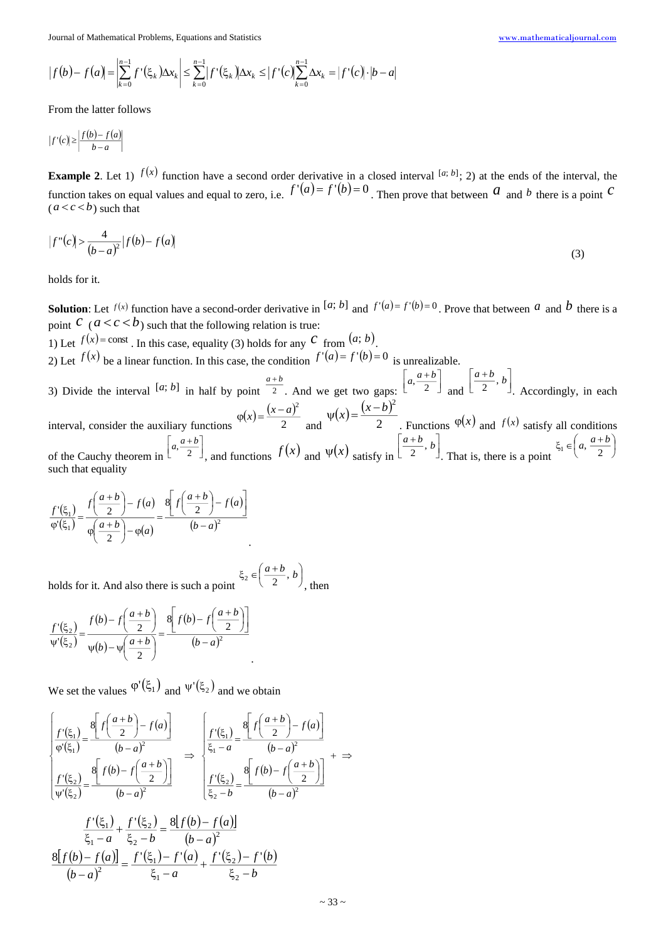Journal of Mathematical Problems, Equations and Statistics [www.mathematicaljournal.com](file://server/test/mathematicaljournal.com/issue/1%20Vol/1%20issue/www.mathematicaljournal.com)

$$
|f(b) - f(a)| = \left| \sum_{k=0}^{n-1} f'(\xi_k) \Delta x_k \right| \leq \sum_{k=0}^{n-1} |f'(\xi_k)| \Delta x_k \leq |f'(c)| \sum_{k=0}^{n-1} \Delta x_k = |f'(c)| \cdot |b - a|
$$

From the latter follows

$$
|f'(c)| \ge \left| \frac{f(b) - f(a)}{b - a} \right|
$$

**Example 2**. Let 1)  $f(x)$  function have a second order derivative in a closed interval  $[a, b]$ ; 2) at the ends of the interval, the function takes on equal values and equal to zero, i.e.  $f'(a) = f'(b) = 0$ . Then prove that between  $a$  and  $b$  there is a point  $c$  $(a < c < b)$  such that

$$
|f''(c)| > \frac{4}{(b-a)^2} |f(b) - f(a)| \tag{3}
$$

holds for it.

**Solution**: Let  $f(x)$  function have a second-order derivative in  $[a; b]$  and  $f'(a) = f'(b) = 0$ . Prove that between  $a$  and  $b$  there is a point  $c \ (a < c < b)$  such that the following relation is true:

1) Let  $f(x) = \text{const}$ . In this case, equality (3) holds for any C from  $(a; b)$ .

2) Let  $f(x)$  be a linear function. In this case, the condition  $f'(a) = f'(b) = 0$  is unrealizable.

.

3) Divide the interval  $[a; b]$  in half by point  $\frac{a}{2}$ *<sup>a</sup> b* . And we get two gaps:  $\lfloor \sqrt[a, \frac{\overline{a}}{2} \rfloor \rfloor$ 1 Ľ  $\begin{bmatrix} a+i \end{bmatrix}$  $\left[\frac{a+b}{2}\right]$  and  $\left[\frac{a+b}{2}, b\right]$ 1 ľ  $\left[\frac{a+b}{2}, b\right]$ , Accordingly, in each  $(x) = \frac{(x-a)^2}{2}$  $(x) = \frac{(x-b)^2}{2}$ 

interval, consider the auxiliary functions 2  $\varphi(x) = \frac{(x-a)^2}{2}$  and 2  $\psi(x) = \frac{(x-b)^2}{2}$ . Functions  $\varphi(x)$  and  $f(x)$  satisfy all conditions of the Cauchy theorem in  $\lfloor \sqrt[a, \frac{a}{2} \rfloor \rfloor$  $\left[a,\frac{a+b}{2}\right]$  $\begin{bmatrix} a+l \end{bmatrix}$  $\left[\frac{a+b}{2}\right]$ , and functions  $f(x)$  and  $\psi(x)$  satisfy in  $\left[\frac{a+b}{2}, b\right]$  $\perp$  $\lfloor$  $\left[\frac{a+b}{2}, b\right]$ . That is, there is a point  $\int$  $\left(a,\frac{a+b}{2}\right)$  $\xi_1 \in \left(a, \frac{a+b}{2}\right)$ such that equality

$$
\frac{f'(\xi_1)}{\varphi'(\xi_1)} = \frac{f\left(\frac{a+b}{2}\right) - f(a)}{\varphi\left(\frac{a+b}{2}\right) - \varphi(a)} = \frac{\left[f\left(\frac{a+b}{2}\right) - f(a)\right]}{(b-a)^2}
$$

holds for it. And also there is such a point  $\int$  $\left(\frac{a+b}{2},b\right)$  $\xi_2 \in \left(\frac{a+b}{2}, b\right)$ , then

$$
\frac{f'(\xi_2)}{\psi'(\xi_2)} = \frac{f(b) - f\left(\frac{a+b}{2}\right)}{\psi(b) - \psi\left(\frac{a+b}{2}\right)} = \frac{8\left[f(b) - f\left(\frac{a+b}{2}\right)\right]}{(b-a)^2}
$$

We set the values  $\varphi'(\xi_1)$  and  $\psi'(\xi_2)$  and we obtain

$$
\begin{aligned}\n\left[\frac{f'(\xi_1)}{\varphi'(\xi_1)} = \frac{8\left[f\left(\frac{a+b}{2}\right) - f(a)\right]}{(b-a)^2} \right] &\Rightarrow \left[\frac{f'(\xi_1)}{\xi_1 - a} = \frac{8\left[f\left(\frac{a+b}{2}\right) - f(a)\right]}{(b-a)^2} \right] \\
\frac{f'(\xi_2)}{\psi'(\xi_2)} = \frac{8\left[f(b) - f\left(\frac{a+b}{2}\right)\right]}{(b-a)^2} &\Rightarrow \left[\frac{f'(\xi_2)}{\xi_2 - b} = \frac{8\left[f(b) - f\left(\frac{a+b}{2}\right)\right]}{(b-a)^2} \right] + \Rightarrow \\
\frac{f'(\xi_1)}{\xi_1 - a} + \frac{f'(\xi_2)}{\xi_2 - b} = \frac{8\left[f(b) - f(a)\right]}{(b-a)^2} \\
\frac{8\left[f(b) - f(a)\right]}{(b-a)^2} = \frac{f'(\xi_1) - f'(a)}{\xi_1 - a} + \frac{f'(\xi_2) - f'(b)}{\xi_2 - b}\n\end{aligned}
$$